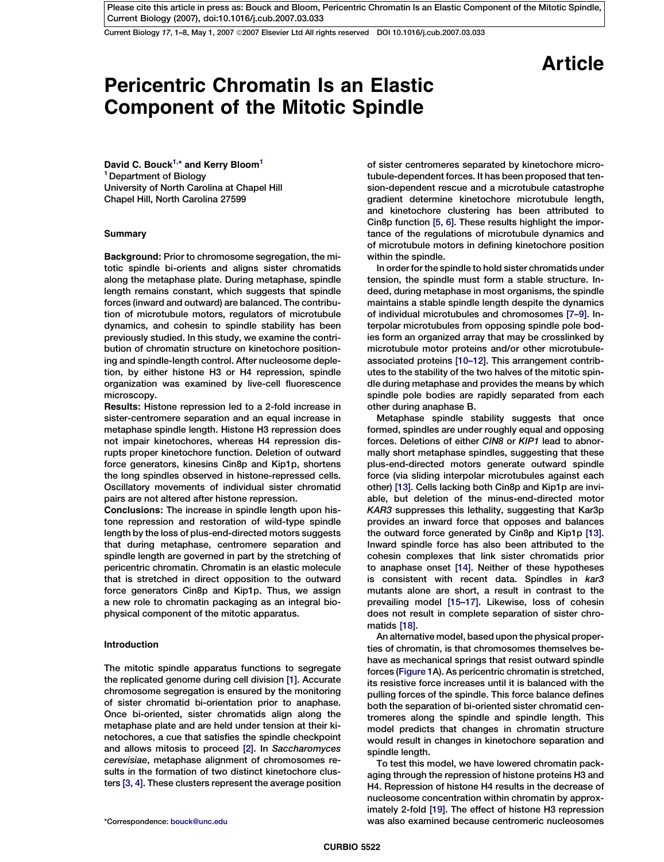Current Biology 17, 1-8, May 1, 2007 ©2007 Elsevier Ltd All rights reserved DOI 10.1016/j.cub.2007.03.033

Article

# Pericentric Chromatin Is an Elastic Component of the Mitotic Spindle

David C. Bouck<sup>1,\*</sup> and Kerry Bloom<sup>1</sup> <sup>1</sup> Department of Biology University of North Carolina at Chapel Hill Chapel Hill, North Carolina 27599

# **Summary**

Background: Prior to chromosome segregation, the mitotic spindle bi-orients and aligns sister chromatids along the metaphase plate. During metaphase, spindle length remains constant, which suggests that spindle forces (inward and outward) are balanced. The contribution of microtubule motors, regulators of microtubule dynamics, and cohesin to spindle stability has been previously studied. In this study, we examine the contribution of chromatin structure on kinetochore positioning and spindle-length control. After nucleosome depletion, by either histone H3 or H4 repression, spindle organization was examined by live-cell fluorescence microscopy.

Results: Histone repression led to a 2-fold increase in sister-centromere separation and an equal increase in metaphase spindle length. Histone H3 repression does not impair kinetochores, whereas H4 repression disrupts proper kinetochore function. Deletion of outward force generators, kinesins Cin8p and Kip1p, shortens the long spindles observed in histone-repressed cells. Oscillatory movements of individual sister chromatid pairs are not altered after histone repression.

Conclusions: The increase in spindle length upon histone repression and restoration of wild-type spindle length by the loss of plus-end-directed motors suggests that during metaphase, centromere separation and spindle length are governed in part by the stretching of pericentric chromatin. Chromatin is an elastic molecule that is stretched in direct opposition to the outward force generators Cin8p and Kip1p. Thus, we assign a new role to chromatin packaging as an integral biophysical component of the mitotic apparatus.

## Introduction

The mitotic spindle apparatus functions to segregate the replicated genome during cell division [\[1\]](#page-6-0). Accurate chromosome segregation is ensured by the monitoring of sister chromatid bi-orientation prior to anaphase. Once bi-oriented, sister chromatids align along the metaphase plate and are held under tension at their kinetochores, a cue that satisfies the spindle checkpoint and allows mitosis to proceed [\[2\]](#page-6-0). In Saccharomyces cerevisiae, metaphase alignment of chromosomes results in the formation of two distinct kinetochore clusters [\[3, 4\].](#page-6-0) These clusters represent the average position

of sister centromeres separated by kinetochore microtubule-dependent forces. It has been proposed that tension-dependent rescue and a microtubule catastrophe gradient determine kinetochore microtubule length, and kinetochore clustering has been attributed to Cin8p function [\[5, 6\]](#page-6-0). These results highlight the importance of the regulations of microtubule dynamics and of microtubule motors in defining kinetochore position within the spindle.

In order for the spindle to hold sister chromatids under tension, the spindle must form a stable structure. Indeed, during metaphase in most organisms, the spindle maintains a stable spindle length despite the dynamics of individual microtubules and chromosomes [\[7–9\]](#page-7-0). Interpolar microtubules from opposing spindle pole bodies form an organized array that may be crosslinked by microtubule motor proteins and/or other microtubuleassociated proteins [\[10–12\].](#page-7-0) This arrangement contributes to the stability of the two halves of the mitotic spindle during metaphase and provides the means by which spindle pole bodies are rapidly separated from each other during anaphase B.

Metaphase spindle stability suggests that once formed, spindles are under roughly equal and opposing forces. Deletions of either CIN8 or KIP1 lead to abnormally short metaphase spindles, suggesting that these plus-end-directed motors generate outward spindle force (via sliding interpolar microtubules against each other) [\[13\]](#page-7-0). Cells lacking both Cin8p and Kip1p are inviable, but deletion of the minus-end-directed motor KAR3 suppresses this lethality, suggesting that Kar3p provides an inward force that opposes and balances the outward force generated by Cin8p and Kip1p [\[13\].](#page-7-0) Inward spindle force has also been attributed to the cohesin complexes that link sister chromatids prior to anaphase onset [\[14\].](#page-7-0) Neither of these hypotheses is consistent with recent data. Spindles in kar3 mutants alone are short, a result in contrast to the prevailing model [\[15–17\].](#page-7-0) Likewise, loss of cohesin does not result in complete separation of sister chromatids [\[18\].](#page-7-0)

An alternative model, based upon the physical properties of chromatin, is that chromosomes themselves behave as mechanical springs that resist outward spindle forces [\(Figure 1](#page-1-0)A). As pericentric chromatin is stretched, its resistive force increases until it is balanced with the pulling forces of the spindle. This force balance defines both the separation of bi-oriented sister chromatid centromeres along the spindle and spindle length. This model predicts that changes in chromatin structure would result in changes in kinetochore separation and spindle length.

To test this model, we have lowered chromatin packaging through the repression of histone proteins H3 and H4. Repression of histone H4 results in the decrease of nucleosome concentration within chromatin by approximately 2-fold [\[19\].](#page-7-0) The effect of histone H3 repression \*Correspondence: [bouck@unc.edu](mailto:bouck@unc.edu) was also examined because centromeric nucleosomes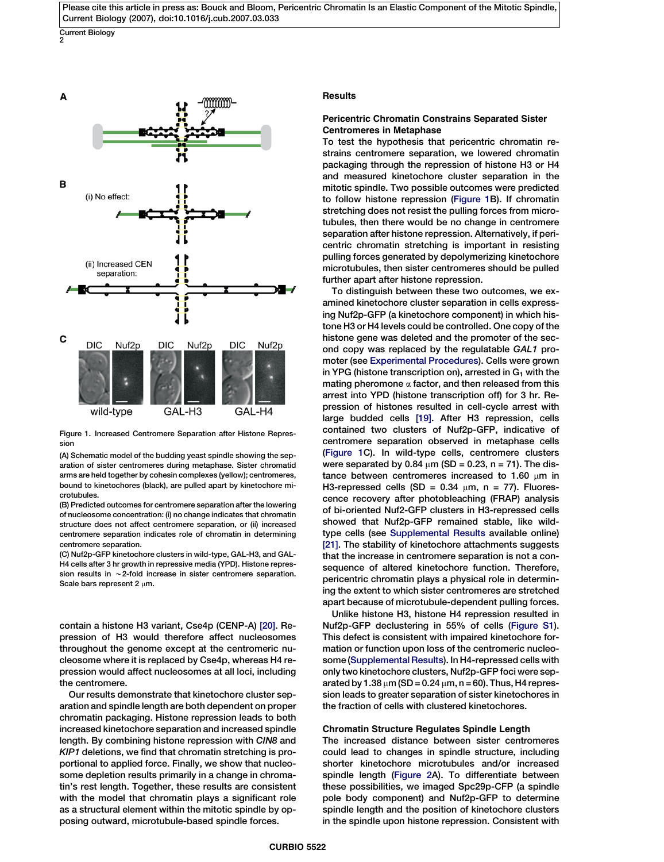<span id="page-1-0"></span>Current Biology 2



Figure 1. Increased Centromere Separation after Histone Repression

(A) Schematic model of the budding yeast spindle showing the separation of sister centromeres during metaphase. Sister chromatid arms are held together by cohesin complexes (yellow); centromeres, bound to kinetochores (black), are pulled apart by kinetochore microtubules.

(B) Predicted outcomes for centromere separation after the lowering of nucleosome concentration: (i) no change indicates that chromatin structure does not affect centromere separation, or (ii) increased centromere separation indicates role of chromatin in determining centromere separation.

(C) Nuf2p-GFP kinetochore clusters in wild-type, GAL-H3, and GAL-H4 cells after 3 hr growth in repressive media (YPD). Histone repression results in  $\sim$  2-fold increase in sister centromere separation. Scale bars represent 2 um.

contain a histone H3 variant, Cse4p (CENP-A) [\[20\]](#page-7-0). Repression of H3 would therefore affect nucleosomes throughout the genome except at the centromeric nucleosome where it is replaced by Cse4p, whereas H4 repression would affect nucleosomes at all loci, including the centromere.

Our results demonstrate that kinetochore cluster separation and spindle length are both dependent on proper chromatin packaging. Histone repression leads to both increased kinetochore separation and increased spindle length. By combining histone repression with CIN8 and KIP1 deletions, we find that chromatin stretching is proportional to applied force. Finally, we show that nucleosome depletion results primarily in a change in chromatin's rest length. Together, these results are consistent with the model that chromatin plays a significant role as a structural element within the mitotic spindle by opposing outward, microtubule-based spindle forces.

# **Results**

# Pericentric Chromatin Constrains Separated Sister Centromeres in Metaphase

To test the hypothesis that pericentric chromatin restrains centromere separation, we lowered chromatin packaging through the repression of histone H3 or H4 and measured kinetochore cluster separation in the mitotic spindle. Two possible outcomes were predicted to follow histone repression (Figure 1B). If chromatin stretching does not resist the pulling forces from microtubules, then there would be no change in centromere separation after histone repression. Alternatively, if pericentric chromatin stretching is important in resisting pulling forces generated by depolymerizing kinetochore microtubules, then sister centromeres should be pulled further apart after histone repression.

To distinguish between these two outcomes, we examined kinetochore cluster separation in cells expressing Nuf2p-GFP (a kinetochore component) in which histone H3 or H4 levels could be controlled. One copy of the histone gene was deleted and the promoter of the second copy was replaced by the regulatable GAL1 promoter (see [Experimental Procedures\)](#page-6-0). Cells were grown in YPG (histone transcription on), arrested in  $G_1$  with the mating pheromone  $\alpha$  factor, and then released from this arrest into YPD (histone transcription off) for 3 hr. Repression of histones resulted in cell-cycle arrest with large budded cells [\[19\]](#page-7-0). After H3 repression, cells contained two clusters of Nuf2p-GFP, indicative of centromere separation observed in metaphase cells (Figure 1C). In wild-type cells, centromere clusters were separated by 0.84  $\mu$ m (SD = 0.23, n = 71). The distance between centromeres increased to 1.60  $\mu$ m in H3-repressed cells (SD =  $0.34 \mu m$ , n = 77). Fluorescence recovery after photobleaching (FRAP) analysis of bi-oriented Nuf2-GFP clusters in H3-repressed cells showed that Nuf2p-GFP remained stable, like wildtype cells (see [Supplemental Results](#page-6-0) available online) [\[21\]](#page-7-0). The stability of kinetochore attachments suggests that the increase in centromere separation is not a consequence of altered kinetochore function. Therefore, pericentric chromatin plays a physical role in determining the extent to which sister centromeres are stretched apart because of microtubule-dependent pulling forces.

Unlike histone H3, histone H4 repression resulted in Nuf2p-GFP declustering in 55% of cells [\(Figure S1\)](#page-6-0). This defect is consistent with impaired kinetochore formation or function upon loss of the centromeric nucleosome [\(Supplemental Results](#page-6-0)). In H4-repressed cells with only two kinetochore clusters, Nuf2p-GFP foci were separated by 1.38  $\mu$ m (SD = 0.24  $\mu$ m, n = 60). Thus, H4 repression leads to greater separation of sister kinetochores in the fraction of cells with clustered kinetochores.

# Chromatin Structure Regulates Spindle Length

The increased distance between sister centromeres could lead to changes in spindle structure, including shorter kinetochore microtubules and/or increased spindle length [\(Figure 2](#page-2-0)A). To differentiate between these possibilities, we imaged Spc29p-CFP (a spindle pole body component) and Nuf2p-GFP to determine spindle length and the position of kinetochore clusters in the spindle upon histone repression. Consistent with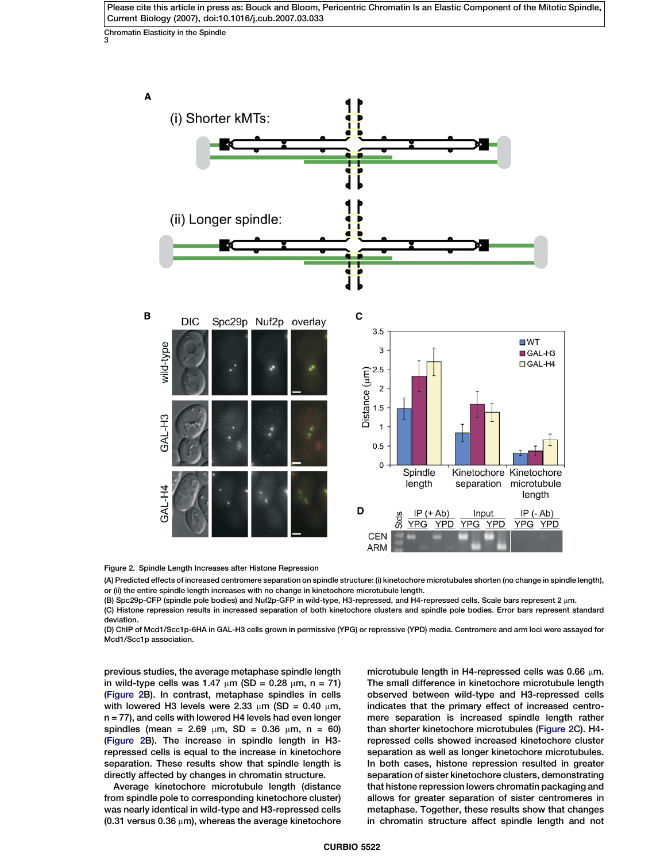<span id="page-2-0"></span>Chromatin Elasticity in the Spindle 3



Figure 2. Spindle Length Increases after Histone Repression

(A) Predicted effects of increased centromere separation on spindle structure: (i) kinetochore microtubules shorten (no change in spindle length), or (ii) the entire spindle length increases with no change in kinetochore microtubule length.

(B) Spc29p-CFP (spindle pole bodies) and Nuf2p-GFP in wild-type, H3-repressed, and H4-repressed cells. Scale bars represent 2 µm.

(C) Histone repression results in increased separation of both kinetochore clusters and spindle pole bodies. Error bars represent standard deviation.

(D) ChIP of Mcd1/Scc1p-6HA in GAL-H3 cells grown in permissive (YPG) or repressive (YPD) media. Centromere and arm loci were assayed for Mcd1/Scc1p association.

previous studies, the average metaphase spindle length in wild-type cells was 1.47  $\mu$ m (SD = 0.28  $\mu$ m, n = 71) (Figure 2B). In contrast, metaphase spindles in cells with lowered H3 levels were 2.33  $\mu$ m (SD = 0.40  $\mu$ m, n = 77), and cells with lowered H4 levels had even longer spindles (mean = 2.69  $\mu$ m, SD = 0.36  $\mu$ m, n = 60) (Figure 2B). The increase in spindle length in H3 repressed cells is equal to the increase in kinetochore separation. These results show that spindle length is directly affected by changes in chromatin structure.

Average kinetochore microtubule length (distance from spindle pole to corresponding kinetochore cluster) was nearly identical in wild-type and H3-repressed cells (0.31 versus 0.36  $\mu$ m), whereas the average kinetochore

microtubule length in H4-repressed cells was 0.66  $\mu$ m. The small difference in kinetochore microtubule length observed between wild-type and H3-repressed cells indicates that the primary effect of increased centromere separation is increased spindle length rather than shorter kinetochore microtubules (Figure 2C). H4 repressed cells showed increased kinetochore cluster separation as well as longer kinetochore microtubules. In both cases, histone repression resulted in greater separation of sister kinetochore clusters, demonstrating that histone repression lowers chromatin packaging and allows for greater separation of sister centromeres in metaphase. Together, these results show that changes in chromatin structure affect spindle length and not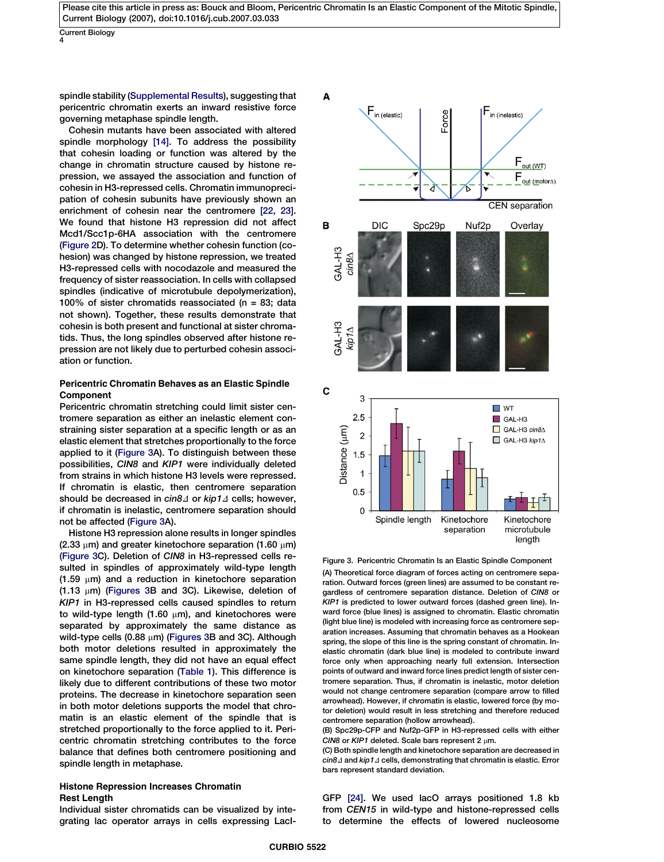<span id="page-3-0"></span>Current Biology 4

spindle stability [\(Supplemental Results](#page-6-0)), suggesting that pericentric chromatin exerts an inward resistive force governing metaphase spindle length.

Cohesin mutants have been associated with altered spindle morphology [\[14\].](#page-7-0) To address the possibility that cohesin loading or function was altered by the change in chromatin structure caused by histone repression, we assayed the association and function of cohesin in H3-repressed cells. Chromatin immunoprecipation of cohesin subunits have previously shown an enrichment of cohesin near the centromere [\[22, 23\].](#page-7-0) We found that histone H3 repression did not affect Mcd1/Scc1p-6HA association with the centromere [\(Figure 2D](#page-2-0)). To determine whether cohesin function (cohesion) was changed by histone repression, we treated H3-repressed cells with nocodazole and measured the frequency of sister reassociation. In cells with collapsed spindles (indicative of microtubule depolymerization), 100% of sister chromatids reassociated ( $n = 83$ ; data not shown). Together, these results demonstrate that cohesin is both present and functional at sister chromatids. Thus, the long spindles observed after histone repression are not likely due to perturbed cohesin association or function.

# Pericentric Chromatin Behaves as an Elastic Spindle Component

Pericentric chromatin stretching could limit sister centromere separation as either an inelastic element constraining sister separation at a specific length or as an elastic element that stretches proportionally to the force applied to it (Figure 3A). To distinguish between these possibilities, CIN8 and KIP1 were individually deleted from strains in which histone H3 levels were repressed. If chromatin is elastic, then centromere separation should be decreased in  $\sin 8\Delta$  or kip1 $\Delta$  cells; however, if chromatin is inelastic, centromere separation should not be affected (Figure 3A).

Histone H3 repression alone results in longer spindles (2.33  $\mu$ m) and greater kinetochore separation (1.60  $\mu$ m) (Figure 3C). Deletion of CIN8 in H3-repressed cells resulted in spindles of approximately wild-type length  $(1.59 \mu m)$  and a reduction in kinetochore separation  $(1.13 \mu m)$  (Figures 3B and 3C). Likewise, deletion of KIP1 in H3-repressed cells caused spindles to return to wild-type length (1.60  $\mu$ m), and kinetochores were separated by approximately the same distance as wild-type cells (0.88  $\mu$ m) (Figures 3B and 3C). Although both motor deletions resulted in approximately the same spindle length, they did not have an equal effect on kinetochore separation ([Table 1\)](#page-4-0). This difference is likely due to different contributions of these two motor proteins. The decrease in kinetochore separation seen in both motor deletions supports the model that chromatin is an elastic element of the spindle that is stretched proportionally to the force applied to it. Pericentric chromatin stretching contributes to the force balance that defines both centromere positioning and spindle length in metaphase.

# Histone Repression Increases Chromatin Rest Length

Individual sister chromatids can be visualized by integrating lac operator arrays in cells expressing LacI-



Figure 3. Pericentric Chromatin Is an Elastic Spindle Component (A) Theoretical force diagram of forces acting on centromere separation. Outward forces (green lines) are assumed to be constant regardless of centromere separation distance. Deletion of CIN8 or KIP1 is predicted to lower outward forces (dashed green line). Inward force (blue lines) is assigned to chromatin. Elastic chromatin (light blue line) is modeled with increasing force as centromere separation increases. Assuming that chromatin behaves as a Hookean spring, the slope of this line is the spring constant of chromatin. Inelastic chromatin (dark blue line) is modeled to contribute inward force only when approaching nearly full extension. Intersection points of outward and inward force lines predict length of sister centromere separation. Thus, if chromatin is inelastic, motor deletion would not change centromere separation (compare arrow to filled arrowhead). However, if chromatin is elastic, lowered force (by motor deletion) would result in less stretching and therefore reduced centromere separation (hollow arrowhead).

(B) Spc29p-CFP and Nuf2p-GFP in H3-repressed cells with either CIN8 or KIP1 deleted. Scale bars represent 2  $\mu$ m.

(C) Both spindle length and kinetochore separation are decreased in  $cn8\Delta$  and kip1 $\Delta$  cells, demonstrating that chromatin is elastic. Error bars represent standard deviation.

GFP [\[24\]](#page-7-0). We used lacO arrays positioned 1.8 kb from CEN15 in wild-type and histone-repressed cells to determine the effects of lowered nucleosome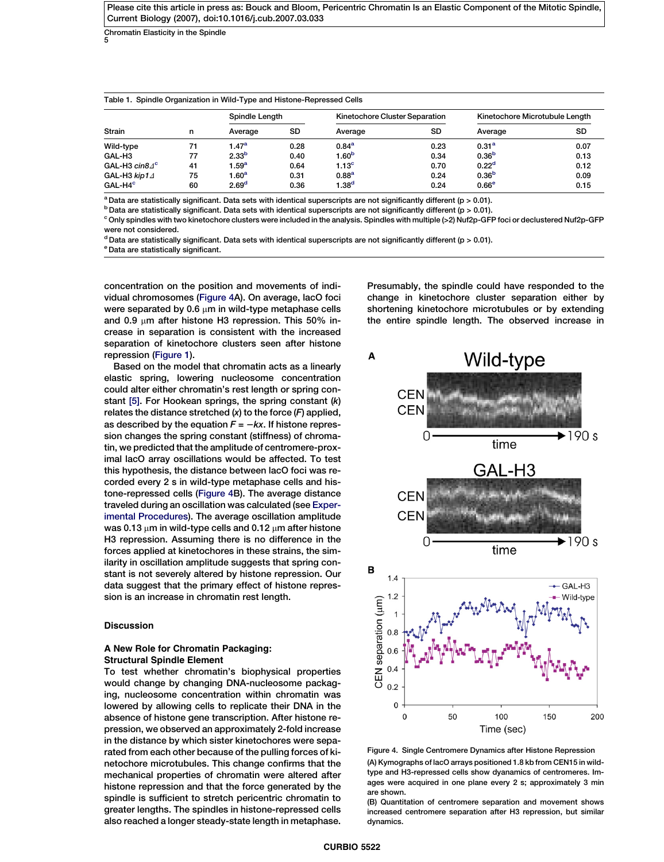<span id="page-4-0"></span>Chromatin Elasticity in the Spindle 5

| Table 1. Spindle Organization in Wild-Type and Histone-Repressed Cells |    |                   |           |                                |           |                                |      |
|------------------------------------------------------------------------|----|-------------------|-----------|--------------------------------|-----------|--------------------------------|------|
| Strain                                                                 | n  | Spindle Length    |           | Kinetochore Cluster Separation |           | Kinetochore Microtubule Lenath |      |
|                                                                        |    | Average           | <b>SD</b> | Average                        | <b>SD</b> | Average                        | SD   |
| Wild-type                                                              | 71 | $1.47^a$          | 0.28      | 0.84 <sup>a</sup>              | 0.23      | 0.31 <sup>a</sup>              | 0.07 |
| GAL-H3                                                                 | 77 | 2.33 <sup>b</sup> | 0.40      | 1.60 <sup>b</sup>              | 0.34      | 0.36 <sup>b</sup>              | 0.13 |
| GAL-H3 $cm8.4^{\circ}$                                                 | 41 | 1.59 <sup>a</sup> | 0.64      | 1.13 <sup>c</sup>              | 0.70      | 0.22 <sup>d</sup>              | 0.12 |
| GAL-H3 $kip14$                                                         | 75 | 1.60 $^{\rm a}$   | 0.31      | 0.88 <sup>a</sup>              | 0.24      | 0.36 <sup>b</sup>              | 0.09 |
| GAL-H4 <sup>c</sup>                                                    | 60 | 2.69 <sup>d</sup> | 0.36      | 1.38 <sup>d</sup>              | 0.24      | 0.66 <sup>e</sup>              | 0.15 |

<sup>a</sup> Data are statistically significant. Data sets with identical superscripts are not significantly different ( $p > 0.01$ ).

 $b$  Data are statistically significant. Data sets with identical superscripts are not significantly different ( $p > 0.01$ ).

 $^{\circ}$  Only spindles with two kinetochore clusters were included in the analysis. Spindles with multiple (>2) Nuf2p-GFP foci or declustered Nuf2p-GFP were not considered.

 $d$  Data are statistically significant. Data sets with identical superscripts are not significantly different (p > 0.01).

<sup>e</sup> Data are statistically significant.

concentration on the position and movements of individual chromosomes (Figure 4A). On average, lacO foci were separated by 0.6  $\mu$ m in wild-type metaphase cells and 0.9  $\mu$ m after histone H3 repression. This 50% increase in separation is consistent with the increased separation of kinetochore clusters seen after histone repression ([Figure 1](#page-1-0)).

Based on the model that chromatin acts as a linearly elastic spring, lowering nucleosome concentration could alter either chromatin's rest length or spring constant  $[5]$ . For Hookean springs, the spring constant  $(k)$ relates the distance stretched  $(x)$  to the force  $(F)$  applied, as described by the equation  $F = -kx$ . If histone repression changes the spring constant (stiffness) of chromatin, we predicted that the amplitude of centromere-proximal lacO array oscillations would be affected. To test this hypothesis, the distance between lacO foci was recorded every 2 s in wild-type metaphase cells and histone-repressed cells (Figure 4B). The average distance traveled during an oscillation was calculated (see [Exper](#page-6-0)[imental Procedures\)](#page-6-0). The average oscillation amplitude was 0.13  $\mu$ m in wild-type cells and 0.12  $\mu$ m after histone H3 repression. Assuming there is no difference in the forces applied at kinetochores in these strains, the similarity in oscillation amplitude suggests that spring constant is not severely altered by histone repression. Our data suggest that the primary effect of histone repression is an increase in chromatin rest length.

# Discussion

# A New Role for Chromatin Packaging: Structural Spindle Element

To test whether chromatin's biophysical properties would change by changing DNA-nucleosome packaging, nucleosome concentration within chromatin was lowered by allowing cells to replicate their DNA in the absence of histone gene transcription. After histone repression, we observed an approximately 2-fold increase in the distance by which sister kinetochores were separated from each other because of the pulling forces of kinetochore microtubules. This change confirms that the mechanical properties of chromatin were altered after histone repression and that the force generated by the spindle is sufficient to stretch pericentric chromatin to greater lengths. The spindles in histone-repressed cells also reached a longer steady-state length in metaphase.

Presumably, the spindle could have responded to the change in kinetochore cluster separation either by shortening kinetochore microtubules or by extending the entire spindle length. The observed increase in



Figure 4. Single Centromere Dynamics after Histone Repression (A) Kymographs of lacO arrays positioned 1.8 kb from CEN15 in wildtype and H3-repressed cells show dyanamics of centromeres. Images were acquired in one plane every 2 s; approximately 3 min are shown.

(B) Quantitation of centromere separation and movement shows increased centromere separation after H3 repression, but similar dynamics.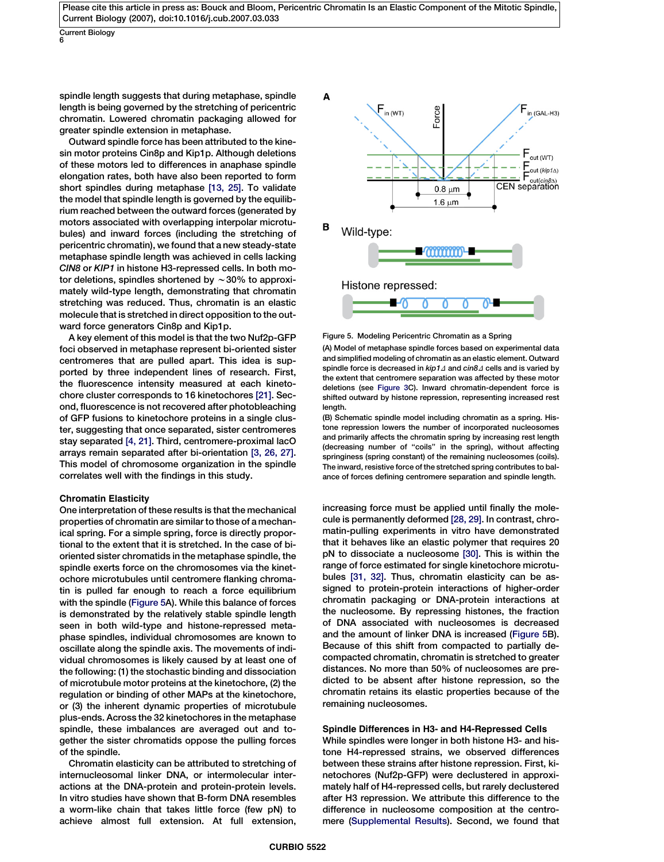Current Biology 6

spindle length suggests that during metaphase, spindle length is being governed by the stretching of pericentric chromatin. Lowered chromatin packaging allowed for greater spindle extension in metaphase.

Outward spindle force has been attributed to the kinesin motor proteins Cin8p and Kip1p. Although deletions of these motors led to differences in anaphase spindle elongation rates, both have also been reported to form short spindles during metaphase [\[13, 25\]](#page-7-0). To validate the model that spindle length is governed by the equilibrium reached between the outward forces (generated by motors associated with overlapping interpolar microtubules) and inward forces (including the stretching of pericentric chromatin), we found that a new steady-state metaphase spindle length was achieved in cells lacking CIN8 or KIP1 in histone H3-repressed cells. In both motor deletions, spindles shortened by  $\sim$  30% to approximately wild-type length, demonstrating that chromatin stretching was reduced. Thus, chromatin is an elastic molecule that is stretched in direct opposition to the outward force generators Cin8p and Kip1p.

A key element of this model is that the two Nuf2p-GFP foci observed in metaphase represent bi-oriented sister centromeres that are pulled apart. This idea is supported by three independent lines of research. First, the fluorescence intensity measured at each kinetochore cluster corresponds to 16 kinetochores [\[21\].](#page-7-0) Second, fluorescence is not recovered after photobleaching of GFP fusions to kinetochore proteins in a single cluster, suggesting that once separated, sister centromeres stay separated [\[4, 21\].](#page-6-0) Third, centromere-proximal lacO arrays remain separated after bi-orientation [\[3, 26, 27\].](#page-6-0) This model of chromosome organization in the spindle correlates well with the findings in this study.

## Chromatin Elasticity

One interpretation of these results is that the mechanical properties of chromatin are similar to those of a mechanical spring. For a simple spring, force is directly proportional to the extent that it is stretched. In the case of bioriented sister chromatids in the metaphase spindle, the spindle exerts force on the chromosomes via the kinetochore microtubules until centromere flanking chromatin is pulled far enough to reach a force equilibrium with the spindle (Figure 5A). While this balance of forces is demonstrated by the relatively stable spindle length seen in both wild-type and histone-repressed metaphase spindles, individual chromosomes are known to oscillate along the spindle axis. The movements of individual chromosomes is likely caused by at least one of the following: (1) the stochastic binding and dissociation of microtubule motor proteins at the kinetochore, (2) the regulation or binding of other MAPs at the kinetochore, or (3) the inherent dynamic properties of microtubule plus-ends. Across the 32 kinetochores in the metaphase spindle, these imbalances are averaged out and together the sister chromatids oppose the pulling forces of the spindle.

Chromatin elasticity can be attributed to stretching of internucleosomal linker DNA, or intermolecular interactions at the DNA-protein and protein-protein levels. In vitro studies have shown that B-form DNA resembles a worm-like chain that takes little force (few pN) to achieve almost full extension. At full extension,



Figure 5. Modeling Pericentric Chromatin as a Spring

(A) Model of metaphase spindle forces based on experimental data and simplified modeling of chromatin as an elastic element. Outward spindle force is decreased in  $kip 1 d$  and  $cin8\Delta$  cells and is varied by the extent that centromere separation was affected by these motor deletions (see [Figure 3C](#page-3-0)). Inward chromatin-dependent force is shifted outward by histone repression, representing increased rest lenath.

(B) Schematic spindle model including chromatin as a spring. Histone repression lowers the number of incorporated nucleosomes and primarily affects the chromatin spring by increasing rest length (decreasing number of "coils" in the spring), without affecting springiness (spring constant) of the remaining nucleosomes (coils). The inward, resistive force of the stretched spring contributes to balance of forces defining centromere separation and spindle length.

increasing force must be applied until finally the molecule is permanently deformed [\[28, 29\].](#page-7-0) In contrast, chromatin-pulling experiments in vitro have demonstrated that it behaves like an elastic polymer that requires 20 pN to dissociate a nucleosome [\[30\].](#page-7-0) This is within the range of force estimated for single kinetochore microtubules [\[31, 32\].](#page-7-0) Thus, chromatin elasticity can be assigned to protein-protein interactions of higher-order chromatin packaging or DNA-protein interactions at the nucleosome. By repressing histones, the fraction of DNA associated with nucleosomes is decreased and the amount of linker DNA is increased (Figure 5B). Because of this shift from compacted to partially decompacted chromatin, chromatin is stretched to greater distances. No more than 50% of nucleosomes are predicted to be absent after histone repression, so the chromatin retains its elastic properties because of the remaining nucleosomes.

## Spindle Differences in H3- and H4-Repressed Cells

While spindles were longer in both histone H3- and histone H4-repressed strains, we observed differences between these strains after histone repression. First, kinetochores (Nuf2p-GFP) were declustered in approximately half of H4-repressed cells, but rarely declustered after H3 repression. We attribute this difference to the difference in nucleosome composition at the centromere [\(Supplemental Results](#page-6-0)). Second, we found that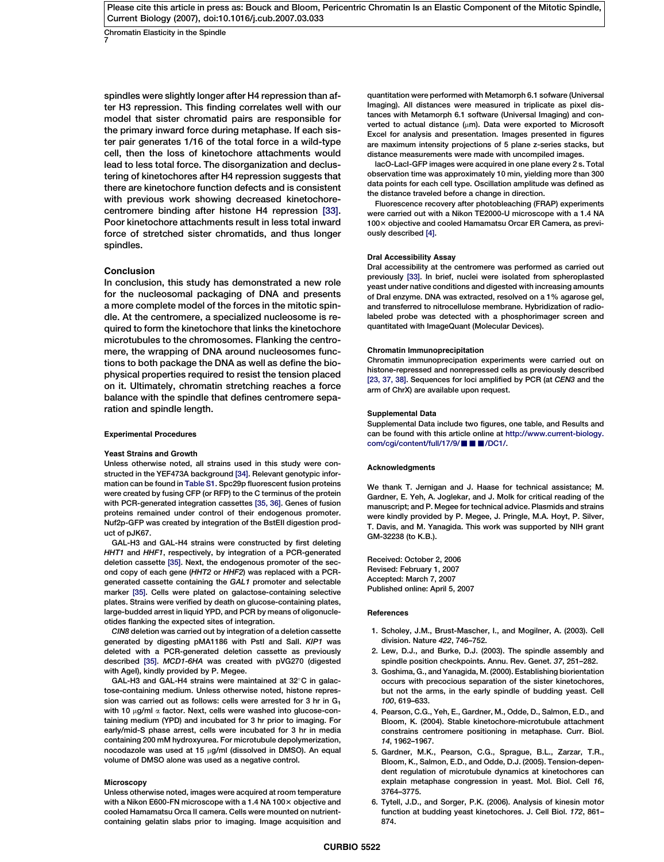<span id="page-6-0"></span>Chromatin Elasticity in the Spindle 7

spindles were slightly longer after H4 repression than after H3 repression. This finding correlates well with our model that sister chromatid pairs are responsible for the primary inward force during metaphase. If each sister pair generates 1/16 of the total force in a wild-type cell, then the loss of kinetochore attachments would lead to less total force. The disorganization and declustering of kinetochores after H4 repression suggests that there are kinetochore function defects and is consistent with previous work showing decreased kinetochorecentromere binding after histone H4 repression [\[33\].](#page-7-0) Poor kinetochore attachments result in less total inward force of stretched sister chromatids, and thus longer spindles.

## Conclusion

In conclusion, this study has demonstrated a new role for the nucleosomal packaging of DNA and presents a more complete model of the forces in the mitotic spindle. At the centromere, a specialized nucleosome is required to form the kinetochore that links the kinetochore microtubules to the chromosomes. Flanking the centromere, the wrapping of DNA around nucleosomes functions to both package the DNA as well as define the biophysical properties required to resist the tension placed on it. Ultimately, chromatin stretching reaches a force balance with the spindle that defines centromere separation and spindle length.

#### Experimental Procedures

#### Yeast Strains and Growth

Unless otherwise noted, all strains used in this study were constructed in the YEF473A background [\[34\].](#page-7-0) Relevant genotypic information can be found in Table S1. Spc29p fluorescent fusion proteins were created by fusing CFP (or RFP) to the C terminus of the protein with PCR-generated integration cassettes [\[35, 36\]](#page-7-0). Genes of fusion proteins remained under control of their endogenous promoter. Nuf2p-GFP was created by integration of the BstEII digestion product of pJK67.

GAL-H3 and GAL-H4 strains were constructed by first deleting HHT1 and HHF1, respectively, by integration of a PCR-generated deletion cassette [\[35\]](#page-7-0). Next, the endogenous promoter of the second copy of each gene (HHT2 or HHF2) was replaced with a PCRgenerated cassette containing the GAL1 promoter and selectable marker [\[35\]](#page-7-0). Cells were plated on galactose-containing selective plates. Strains were verified by death on glucose-containing plates, large-budded arrest in liquid YPD, and PCR by means of oligonucleotides flanking the expected sites of integration.

CIN8 deletion was carried out by integration of a deletion cassette generated by digesting pMA1186 with PstI and Sall. KIP1 was deleted with a PCR-generated deletion cassette as previously described [\[35\]](#page-7-0). MCD1-6HA was created with pVG270 (digested with AgeI), kindly provided by P. Megee.

GAL-H3 and GAL-H4 strains were maintained at  $32^{\circ}$ C in galactose-containing medium. Unless otherwise noted, histone repression was carried out as follows: cells were arrested for 3 hr in  $G_1$ with 10  $\mu$ g/ml  $\alpha$  factor. Next, cells were washed into glucose-containing medium (YPD) and incubated for 3 hr prior to imaging. For early/mid-S phase arrest, cells were incubated for 3 hr in media containing 200 mM hydroxyurea. For microtubule depolymerization, nocodazole was used at 15  $\mu$ g/ml (dissolved in DMSO). An equal volume of DMSO alone was used as a negative control.

### Microscopy

Unless otherwise noted, images were acquired at room temperature with a Nikon E600-FN microscope with a 1.4 NA 100 $\times$  objective and cooled Hamamatsu Orca II camera. Cells were mounted on nutrientcontaining gelatin slabs prior to imaging. Image acquisition and quantitation were performed with Metamorph 6.1 sofware (Universal Imaging). All distances were measured in triplicate as pixel distances with Metamorph 6.1 software (Universal Imaging) and converted to actual distance ( $\mu$ m). Data were exported to Microsoft Excel for analysis and presentation. Images presented in figures are maximum intensity projections of 5 plane z-series stacks, but distance measurements were made with uncompiled images.

lacO-LacI-GFP images were acquired in one plane every 2 s. Total observation time was approximately 10 min, yielding more than 300 data points for each cell type. Oscillation amplitude was defined as the distance traveled before a change in direction.

Fluorescence recovery after photobleaching (FRAP) experiments were carried out with a Nikon TE2000-U microscope with a 1.4 NA 100 x objective and cooled Hamamatsu Orcar ER Camera, as previously described [4].

## DraI Accessibility Assay

DraI accessibility at the centromere was performed as carried out previously [\[33\].](#page-7-0) In brief, nuclei were isolated from spheroplasted yeast under native conditions and digested with increasing amounts of DraI enzyme. DNA was extracted, resolved on a 1% agarose gel, and transferred to nitrocellulose membrane. Hybridization of radiolabeled probe was detected with a phosphorimager screen and quantitated with ImageQuant (Molecular Devices).

#### Chromatin Immunoprecipitation

Chromatin immunoprecipation experiments were carried out on histone-repressed and nonrepressed cells as previously described [\[23, 37, 38\]](#page-7-0). Sequences for loci amplified by PCR (at CEN3 and the arm of ChrX) are available upon request.

#### Supplemental Data

Supplemental Data include two figures, one table, and Results and can be found with this article online at [http://www.current-biology.](http://www.current-biology.com/cgi/content/full/17/9/bxs/DC1/) [com/cgi/content/full/17/9/](http://www.current-biology.com/cgi/content/full/17/9/bxs/DC1/) $\blacksquare$  $\blacksquare$ /DC1/.

#### Acknowledgments

We thank T. Jernigan and J. Haase for technical assistance; M. Gardner, E. Yeh, A. Joglekar, and J. Molk for critical reading of the manuscript; and P. Megee for technical advice. Plasmids and strains were kindly provided by P. Megee, J. Pringle, M.A. Hoyt, P. Silver, T. Davis, and M. Yanagida. This work was supported by NIH grant GM-32238 (to K.B.).

Received: October 2, 2006 Revised: February 1, 2007 Accepted: March 7, 2007 Published online: April 5, 2007

#### **References**

- 1. Scholey, J.M., Brust-Mascher, I., and Mogilner, A. (2003). Cell division. Nature 422, 746–752.
- 2. Lew, D.J., and Burke, D.J. (2003). The spindle assembly and spindle position checkpoints. Annu. Rev. Genet. 37, 251–282.
- 3. Goshima, G., and Yanagida, M. (2000). Establishing biorientation occurs with precocious separation of the sister kinetochores, but not the arms, in the early spindle of budding yeast. Cell 100, 619–633.
- 4. Pearson, C.G., Yeh, E., Gardner, M., Odde, D., Salmon, E.D., and Bloom, K. (2004). Stable kinetochore-microtubule attachment constrains centromere positioning in metaphase. Curr. Biol. 14, 1962–1967.
- 5. Gardner, M.K., Pearson, C.G., Sprague, B.L., Zarzar, T.R., Bloom, K., Salmon, E.D., and Odde, D.J. (2005). Tension-dependent regulation of microtubule dynamics at kinetochores can explain metaphase congression in yeast. Mol. Biol. Cell 16, 3764–3775.
- 6. Tytell, J.D., and Sorger, P.K. (2006). Analysis of kinesin motor function at budding yeast kinetochores. J. Cell Biol. 172, 861– 874.